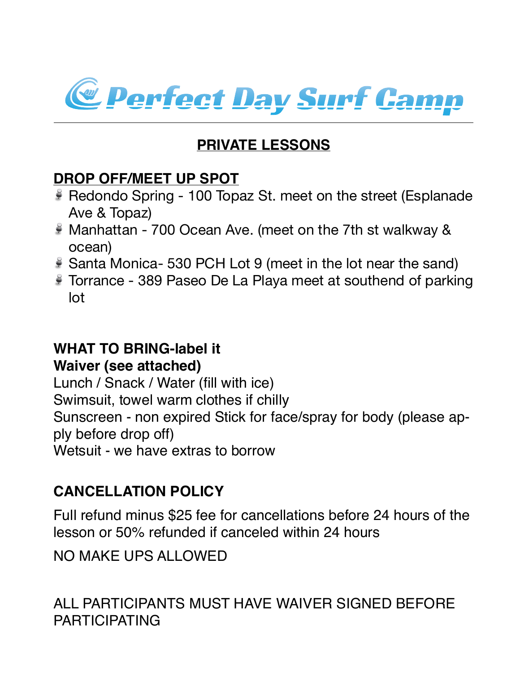

## **PRIVATE LESSONS**

### **DROP OFF/MEET UP SPOT**

- Redondo Spring 100 Topaz St. meet on the street (Esplanade Ave & Topaz)
- Manhattan 700 Ocean Ave. (meet on the 7th st walkway & ocean)
- Santa Monica- 530 PCH Lot 9 (meet in the lot near the sand)
- Torrance 389 Paseo De La Playa meet at southend of parking lot

# **WHAT TO BRING-label it**

**Waiver (see attached)**

Lunch / Snack / Water (fill with ice) Swimsuit, towel warm clothes if chilly Sunscreen - non expired Stick for face/spray for body (please apply before drop off) Wetsuit - we have extras to borrow

### **CANCELLATION POLICY**

Full refund minus \$25 fee for cancellations before 24 hours of the lesson or 50% refunded if canceled within 24 hours

NO MAKE UPS ALLOWED

ALL PARTICIPANTS MUST HAVE WAIVER SIGNED BEFORE PARTICIPATING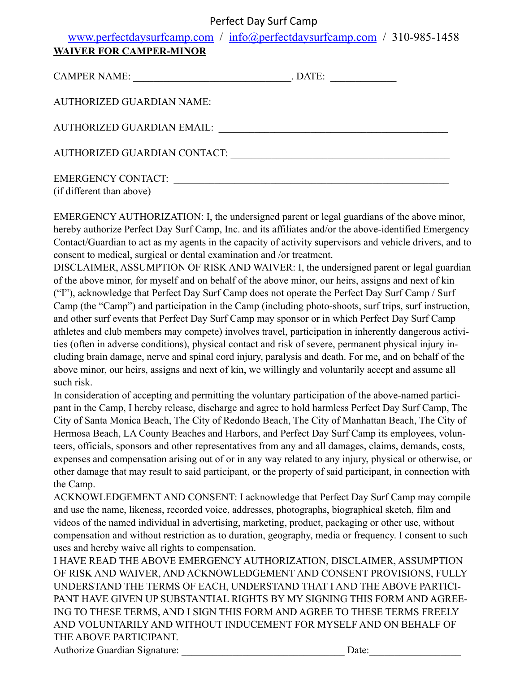#### Perfect Day Surf Camp

| www.perfectdaysurfcamp.com / info@perfectdaysurfcamp.com / 310-985-1458 |  |
|-------------------------------------------------------------------------|--|
| <b>WAIVER FOR CAMPER-MINOR</b>                                          |  |

| CAMPER NAME:                      | . DATE: |  |
|-----------------------------------|---------|--|
| <b>AUTHORIZED GUARDIAN NAME:</b>  |         |  |
| <b>AUTHORIZED GUARDIAN EMAIL:</b> |         |  |
| AUTHORIZED GUARDIAN CONTACT:      |         |  |
| <b>EMERGENCY CONTACT:</b>         |         |  |

(if different than above)

EMERGENCY AUTHORIZATION: I, the undersigned parent or legal guardians of the above minor, hereby authorize Perfect Day Surf Camp, Inc. and its affiliates and/or the above-identified Emergency Contact/Guardian to act as my agents in the capacity of activity supervisors and vehicle drivers, and to consent to medical, surgical or dental examination and /or treatment.

DISCLAIMER, ASSUMPTION OF RISK AND WAIVER: I, the undersigned parent or legal guardian of the above minor, for myself and on behalf of the above minor, our heirs, assigns and next of kin ("I"), acknowledge that Perfect Day Surf Camp does not operate the Perfect Day Surf Camp / Surf Camp (the "Camp") and participation in the Camp (including photo-shoots, surf trips, surf instruction, and other surf events that Perfect Day Surf Camp may sponsor or in which Perfect Day Surf Camp athletes and club members may compete) involves travel, participation in inherently dangerous activities (often in adverse conditions), physical contact and risk of severe, permanent physical injury including brain damage, nerve and spinal cord injury, paralysis and death. For me, and on behalf of the above minor, our heirs, assigns and next of kin, we willingly and voluntarily accept and assume all such risk.

In consideration of accepting and permitting the voluntary participation of the above-named participant in the Camp, I hereby release, discharge and agree to hold harmless Perfect Day Surf Camp, The City of Santa Monica Beach, The City of Redondo Beach, The City of Manhattan Beach, The City of Hermosa Beach, LA County Beaches and Harbors, and Perfect Day Surf Camp its employees, volunteers, officials, sponsors and other representatives from any and all damages, claims, demands, costs, expenses and compensation arising out of or in any way related to any injury, physical or otherwise, or other damage that may result to said participant, or the property of said participant, in connection with the Camp.

ACKNOWLEDGEMENT AND CONSENT: I acknowledge that Perfect Day Surf Camp may compile and use the name, likeness, recorded voice, addresses, photographs, biographical sketch, film and videos of the named individual in advertising, marketing, product, packaging or other use, without compensation and without restriction as to duration, geography, media or frequency. I consent to such uses and hereby waive all rights to compensation.

I HAVE READ THE ABOVE EMERGENCY AUTHORIZATION, DISCLAIMER, ASSUMPTION OF RISK AND WAIVER, AND ACKNOWLEDGEMENT AND CONSENT PROVISIONS, FULLY UNDERSTAND THE TERMS OF EACH, UNDERSTAND THAT I AND THE ABOVE PARTICI-PANT HAVE GIVEN UP SUBSTANTIAL RIGHTS BY MY SIGNING THIS FORM AND AGREE-ING TO THESE TERMS, AND I SIGN THIS FORM AND AGREE TO THESE TERMS FREELY AND VOLUNTARILY AND WITHOUT INDUCEMENT FOR MYSELF AND ON BEHALF OF THE ABOVE PARTICIPANT.

Authorize Guardian Signature: <br>
Date: